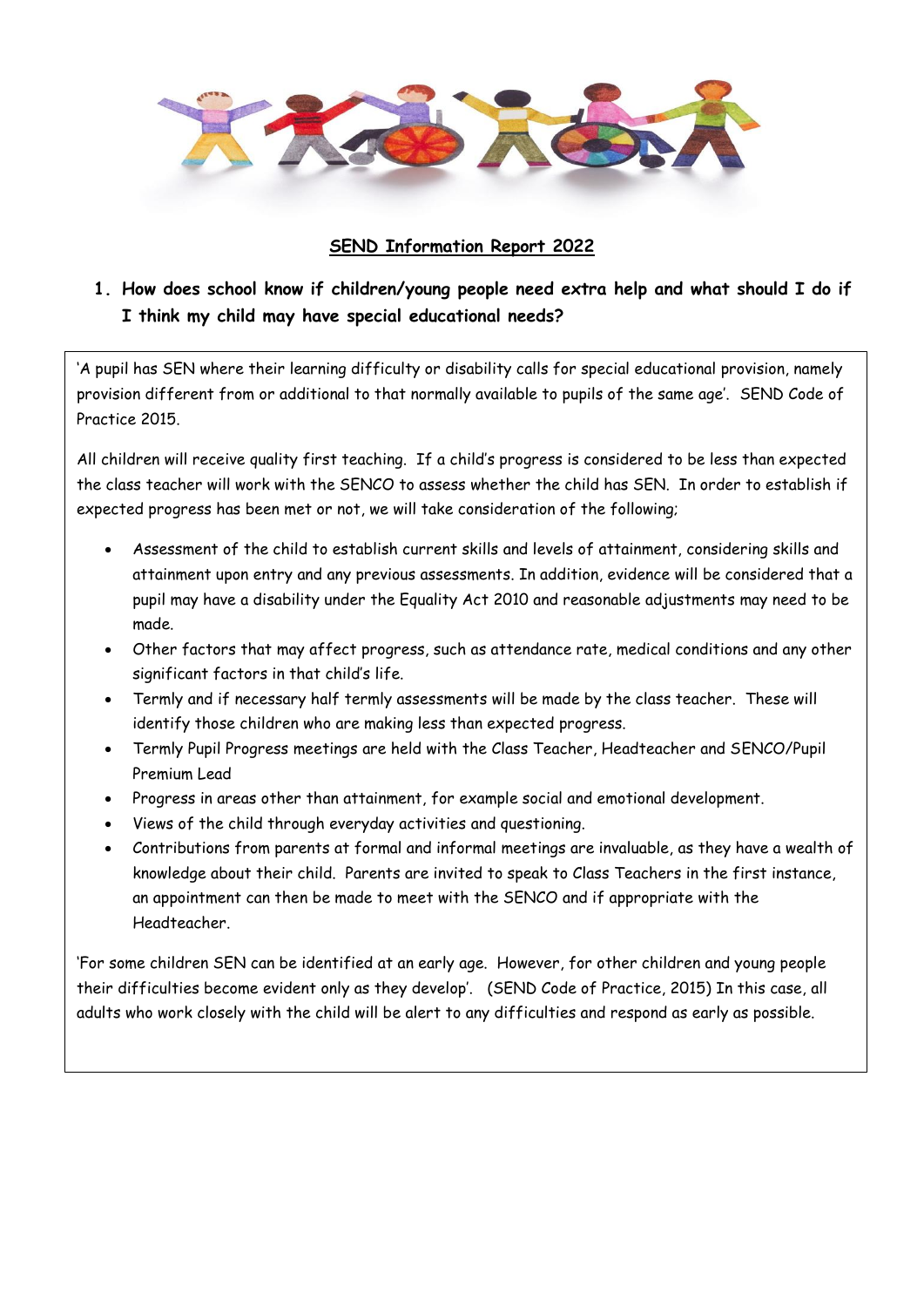

### **SEND Information Report 2022**

# **1. How does school know if children/young people need extra help and what should I do if I think my child may have special educational needs?**

'A pupil has SEN where their learning difficulty or disability calls for special educational provision, namely provision different from or additional to that normally available to pupils of the same age'. SEND Code of Practice 2015.

All children will receive quality first teaching. If a child's progress is considered to be less than expected the class teacher will work with the SENCO to assess whether the child has SEN. In order to establish if expected progress has been met or not, we will take consideration of the following;

- Assessment of the child to establish current skills and levels of attainment, considering skills and attainment upon entry and any previous assessments. In addition, evidence will be considered that a pupil may have a disability under the Equality Act 2010 and reasonable adjustments may need to be made.
- Other factors that may affect progress, such as attendance rate, medical conditions and any other significant factors in that child's life.
- Termly and if necessary half termly assessments will be made by the class teacher. These will identify those children who are making less than expected progress.
- Termly Pupil Progress meetings are held with the Class Teacher, Headteacher and SENCO/Pupil Premium Lead
- Progress in areas other than attainment, for example social and emotional development.
- Views of the child through everyday activities and questioning.
- Contributions from parents at formal and informal meetings are invaluable, as they have a wealth of knowledge about their child. Parents are invited to speak to Class Teachers in the first instance, an appointment can then be made to meet with the SENCO and if appropriate with the Headteacher.

'For some children SEN can be identified at an early age. However, for other children and young people their difficulties become evident only as they develop'. (SEND Code of Practice, 2015) In this case, all adults who work closely with the child will be alert to any difficulties and respond as early as possible.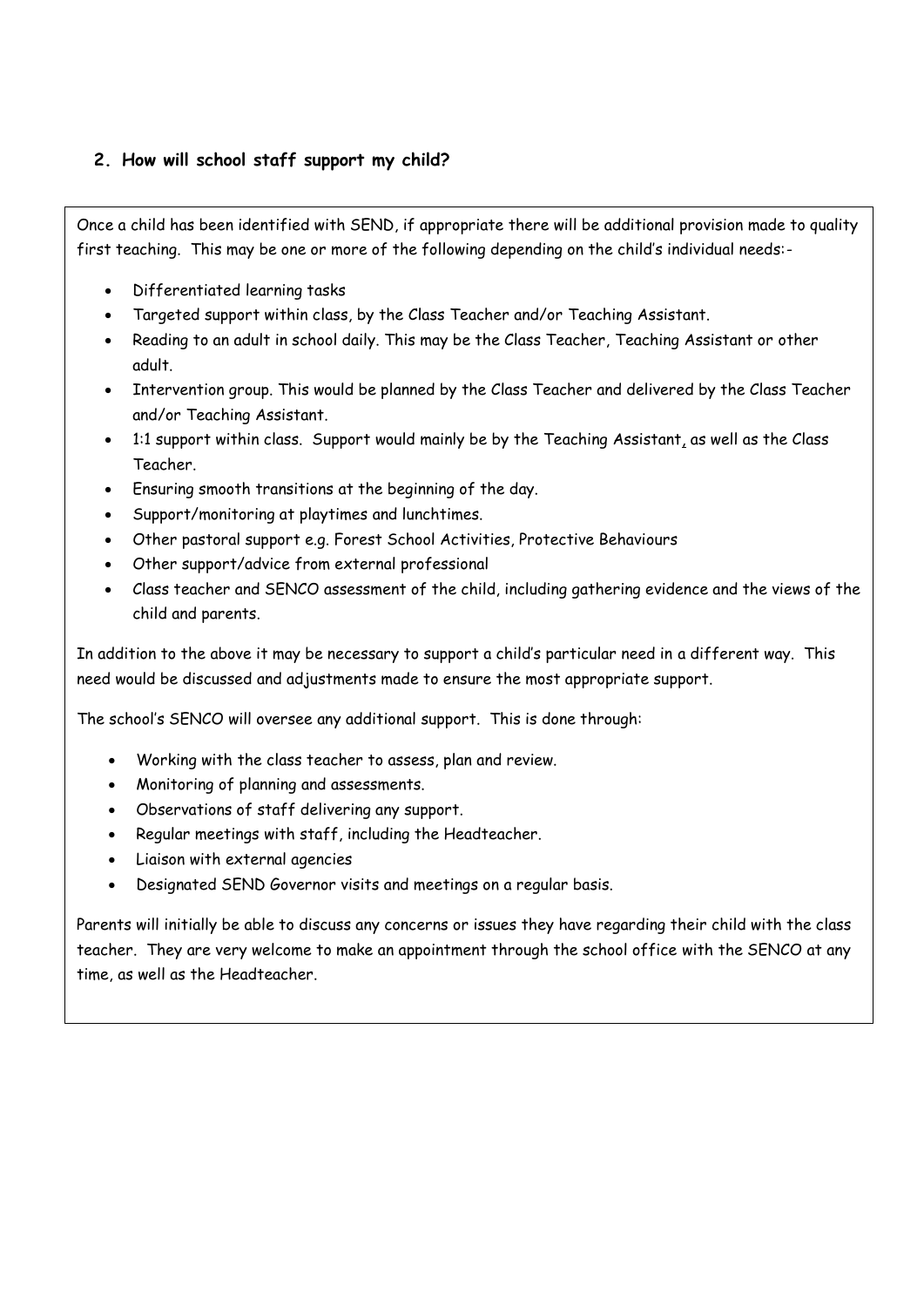## **2. How will school staff support my child?**

Once a child has been identified with SEND, if appropriate there will be additional provision made to quality first teaching. This may be one or more of the following depending on the child's individual needs:-

- Differentiated learning tasks
- Targeted support within class, by the Class Teacher and/or Teaching Assistant.
- Reading to an adult in school daily. This may be the Class Teacher, Teaching Assistant or other adult.
- Intervention group. This would be planned by the Class Teacher and delivered by the Class Teacher and/or Teaching Assistant.
- 1:1 support within class. Support would mainly be by the Teaching Assistant, as well as the Class Teacher.
- Ensuring smooth transitions at the beginning of the day.
- Support/monitoring at playtimes and lunchtimes.
- Other pastoral support e.g. Forest School Activities, Protective Behaviours
- Other support/advice from external professional
- Class teacher and SENCO assessment of the child, including gathering evidence and the views of the child and parents.

In addition to the above it may be necessary to support a child's particular need in a different way. This need would be discussed and adjustments made to ensure the most appropriate support.

The school's SENCO will oversee any additional support. This is done through:

- Working with the class teacher to assess, plan and review.
- Monitoring of planning and assessments.
- Observations of staff delivering any support.
- Regular meetings with staff, including the Headteacher.
- Liaison with external agencies
- Designated SEND Governor visits and meetings on a regular basis.

Parents will initially be able to discuss any concerns or issues they have regarding their child with the class teacher. They are very welcome to make an appointment through the school office with the SENCO at any time, as well as the Headteacher.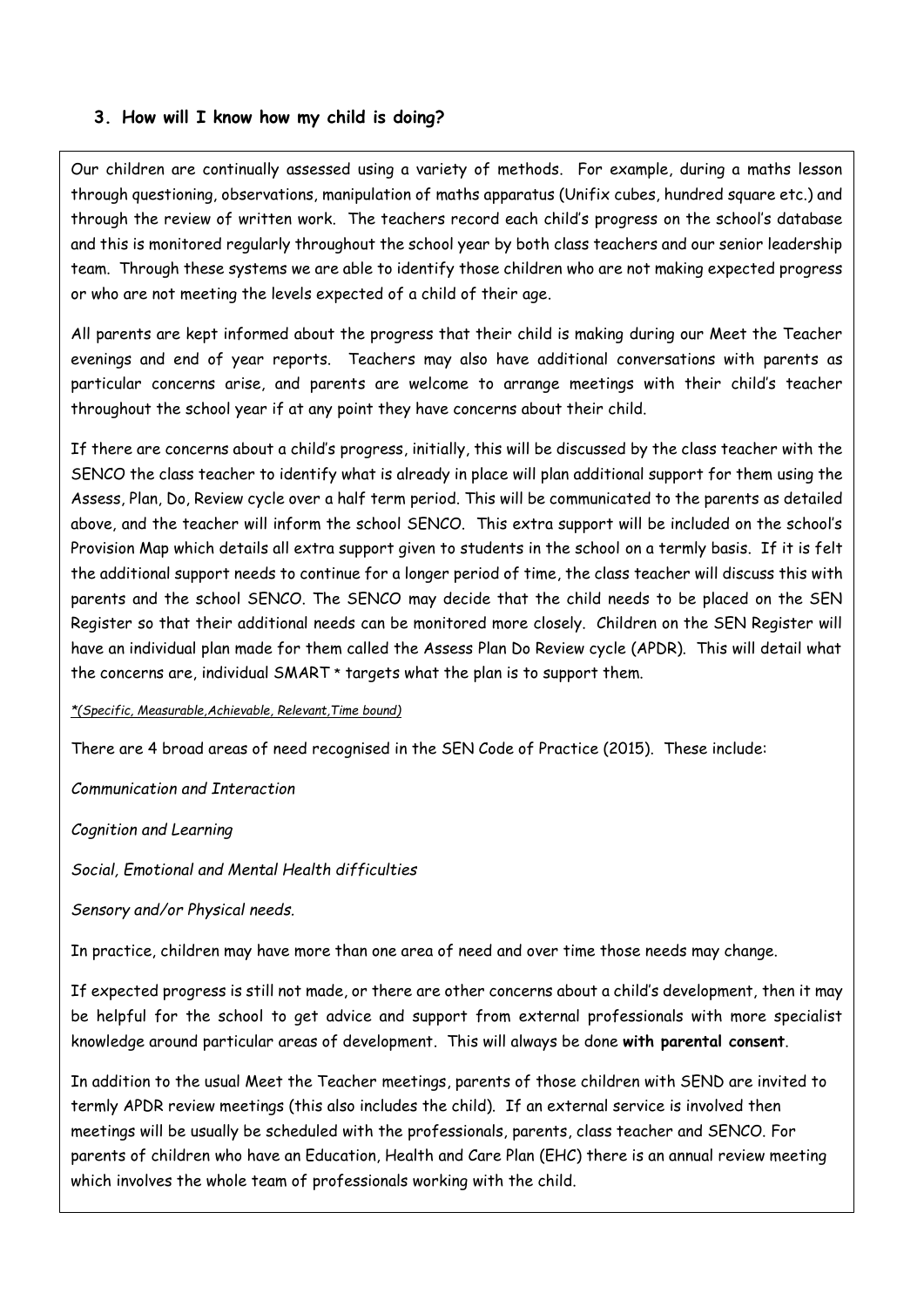#### **3. How will I know how my child is doing?**

Our children are continually assessed using a variety of methods. For example, during a maths lesson through questioning, observations, manipulation of maths apparatus (Unifix cubes, hundred square etc.) and through the review of written work. The teachers record each child's progress on the school's database and this is monitored regularly throughout the school year by both class teachers and our senior leadership team. Through these systems we are able to identify those children who are not making expected progress or who are not meeting the levels expected of a child of their age.

All parents are kept informed about the progress that their child is making during our Meet the Teacher evenings and end of year reports. Teachers may also have additional conversations with parents as particular concerns arise, and parents are welcome to arrange meetings with their child's teacher throughout the school year if at any point they have concerns about their child.

If there are concerns about a child's progress, initially, this will be discussed by the class teacher with the SENCO the class teacher to identify what is already in place will plan additional support for them using the Assess, Plan, Do, Review cycle over a half term period. This will be communicated to the parents as detailed above, and the teacher will inform the school SENCO. This extra support will be included on the school's Provision Map which details all extra support given to students in the school on a termly basis. If it is felt the additional support needs to continue for a longer period of time, the class teacher will discuss this with parents and the school SENCO. The SENCO may decide that the child needs to be placed on the SEN Register so that their additional needs can be monitored more closely. Children on the SEN Register will have an individual plan made for them called the Assess Plan Do Review cycle (APDR). This will detail what the concerns are, individual SMART \* targets what the plan is to support them.

#### *\*(Specific, Measurable,Achievable, Relevant,Time bound)*

There are 4 broad areas of need recognised in the SEN Code of Practice (2015). These include:

*Communication and Interaction*

*Cognition and Learning*

*Social, Emotional and Mental Health difficulties*

*Sensory and/or Physical needs.* 

In practice, children may have more than one area of need and over time those needs may change.

If expected progress is still not made, or there are other concerns about a child's development, then it may be helpful for the school to get advice and support from external professionals with more specialist knowledge around particular areas of development. This will always be done **with parental consent**.

In addition to the usual Meet the Teacher meetings, parents of those children with SEND are invited to termly APDR review meetings (this also includes the child). If an external service is involved then meetings will be usually be scheduled with the professionals, parents, class teacher and SENCO. For parents of children who have an Education, Health and Care Plan (EHC) there is an annual review meeting which involves the whole team of professionals working with the child.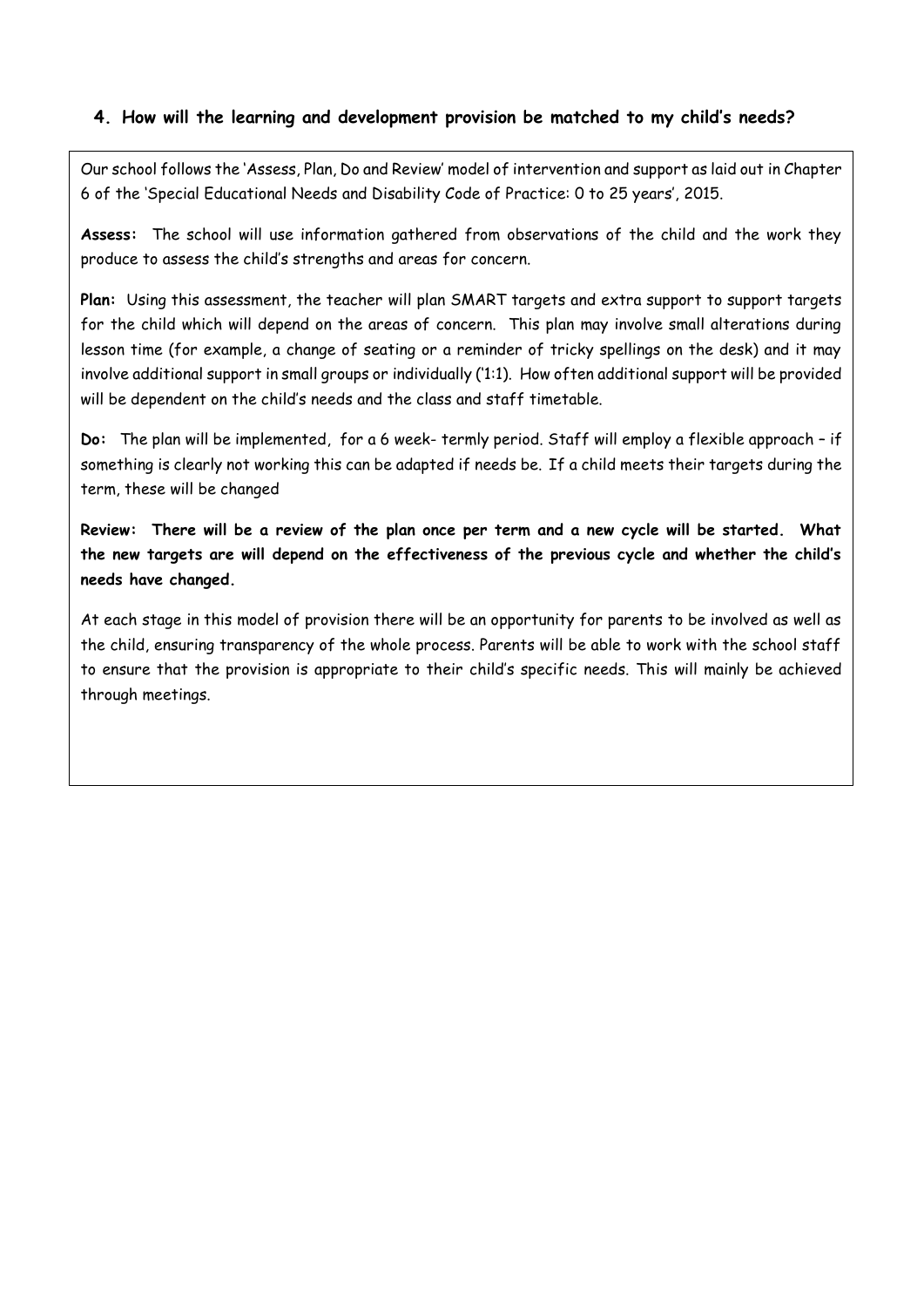#### **4. How will the learning and development provision be matched to my child's needs?**

Our school follows the 'Assess, Plan, Do and Review' model of intervention and support as laid out in Chapter 6 of the 'Special Educational Needs and Disability Code of Practice: 0 to 25 years', 2015.

**Assess:** The school will use information gathered from observations of the child and the work they produce to assess the child's strengths and areas for concern.

**Plan:** Using this assessment, the teacher will plan SMART targets and extra support to support targets for the child which will depend on the areas of concern. This plan may involve small alterations during lesson time (for example, a change of seating or a reminder of tricky spellings on the desk) and it may involve additional support in small groups or individually ('1:1). How often additional support will be provided will be dependent on the child's needs and the class and staff timetable.

**Do:** The plan will be implemented, for a 6 week- termly period. Staff will employ a flexible approach – if something is clearly not working this can be adapted if needs be. If a child meets their targets during the term, these will be changed

**Review: There will be a review of the plan once per term and a new cycle will be started. What the new targets are will depend on the effectiveness of the previous cycle and whether the child's needs have changed.** 

At each stage in this model of provision there will be an opportunity for parents to be involved as well as the child, ensuring transparency of the whole process. Parents will be able to work with the school staff to ensure that the provision is appropriate to their child's specific needs. This will mainly be achieved through meetings.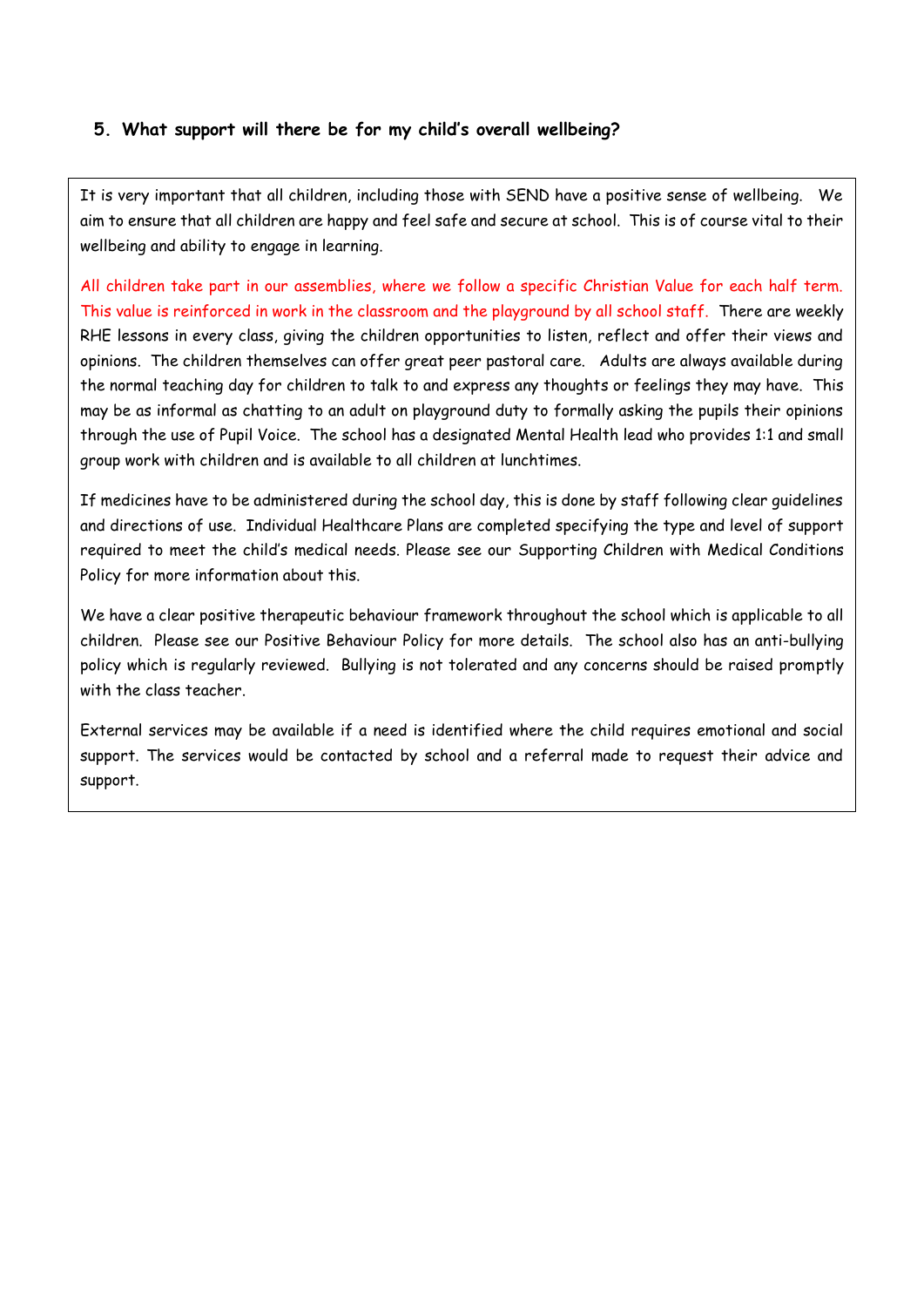### **5. What support will there be for my child's overall wellbeing?**

It is very important that all children, including those with SEND have a positive sense of wellbeing. We aim to ensure that all children are happy and feel safe and secure at school. This is of course vital to their wellbeing and ability to engage in learning.

All children take part in our assemblies, where we follow a specific Christian Value for each half term. This value is reinforced in work in the classroom and the playground by all school staff. There are weekly RHE lessons in every class, giving the children opportunities to listen, reflect and offer their views and opinions. The children themselves can offer great peer pastoral care. Adults are always available during the normal teaching day for children to talk to and express any thoughts or feelings they may have. This may be as informal as chatting to an adult on playground duty to formally asking the pupils their opinions through the use of Pupil Voice. The school has a designated Mental Health lead who provides 1:1 and small group work with children and is available to all children at lunchtimes.

If medicines have to be administered during the school day, this is done by staff following clear guidelines and directions of use. Individual Healthcare Plans are completed specifying the type and level of support required to meet the child's medical needs. Please see our Supporting Children with Medical Conditions Policy for more information about this.

We have a clear positive therapeutic behaviour framework throughout the school which is applicable to all children. Please see our Positive Behaviour Policy for more details. The school also has an anti-bullying policy which is regularly reviewed. Bullying is not tolerated and any concerns should be raised promptly with the class teacher.

External services may be available if a need is identified where the child requires emotional and social support. The services would be contacted by school and a referral made to request their advice and support.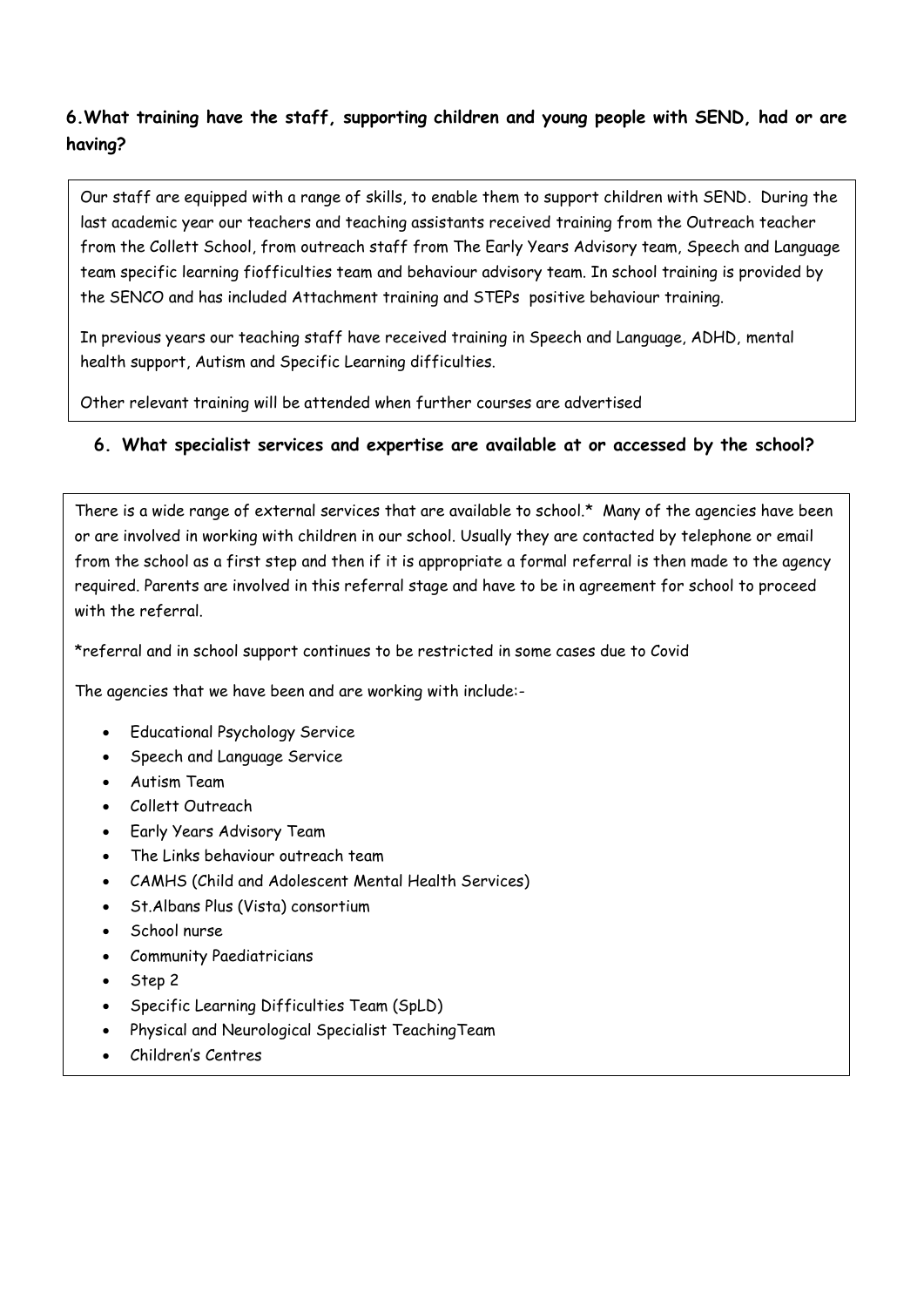# **6.What training have the staff, supporting children and young people with SEND, had or are having?**

Our staff are equipped with a range of skills, to enable them to support children with SEND. During the last academic year our teachers and teaching assistants received training from the Outreach teacher from the Collett School, from outreach staff from The Early Years Advisory team, Speech and Language team specific learning fiofficulties team and behaviour advisory team. In school training is provided by the SENCO and has included Attachment training and STEPs positive behaviour training.

In previous years our teaching staff have received training in Speech and Language, ADHD, mental health support, Autism and Specific Learning difficulties.

Other relevant training will be attended when further courses are advertised

## **6. What specialist services and expertise are available at or accessed by the school?**

There is a wide range of external services that are available to school.\* Many of the agencies have been or are involved in working with children in our school. Usually they are contacted by telephone or email from the school as a first step and then if it is appropriate a formal referral is then made to the agency required. Parents are involved in this referral stage and have to be in agreement for school to proceed with the referral.

\*referral and in school support continues to be restricted in some cases due to Covid

The agencies that we have been and are working with include:-

- Educational Psychology Service
- Speech and Language Service
- Autism Team
- Collett Outreach
- Early Years Advisory Team
- The Links behaviour outreach team
- CAMHS (Child and Adolescent Mental Health Services)
- St.Albans Plus (Vista) consortium
- School nurse
- Community Paediatricians
- Step 2

<u>Palms and Communications</u>

- Specific Learning Difficulties Team (SpLD)
- Physical and Neurological Specialist TeachingTeam
- Children's Centres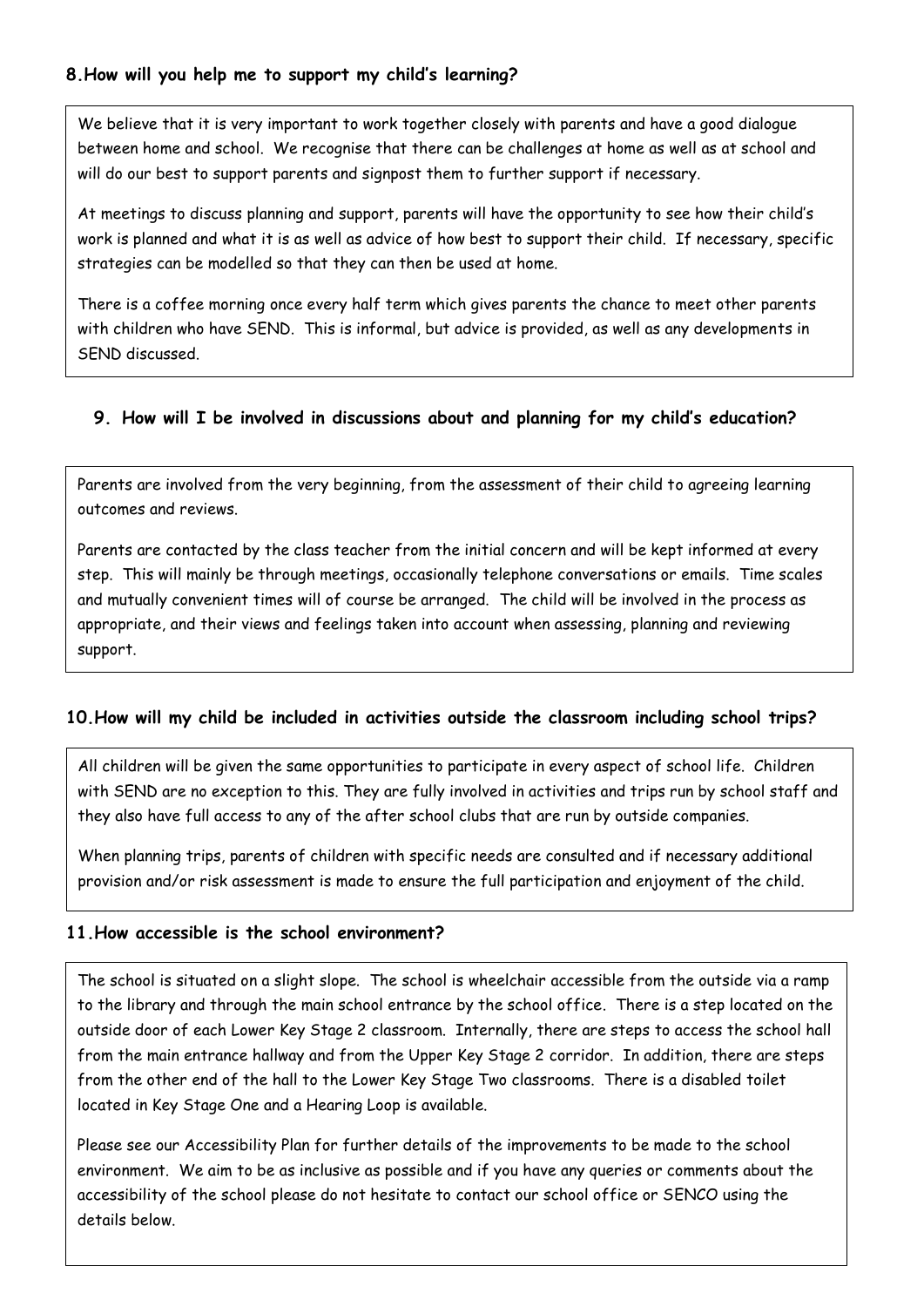### **8.How will you help me to support my child's learning?**

We believe that it is very important to work together closely with parents and have a good dialogue between home and school. We recognise that there can be challenges at home as well as at school and will do our best to support parents and signpost them to further support if necessary.

At meetings to discuss planning and support, parents will have the opportunity to see how their child's work is planned and what it is as well as advice of how best to support their child. If necessary, specific strategies can be modelled so that they can then be used at home.

There is a coffee morning once every half term which gives parents the chance to meet other parents with children who have SEND. This is informal, but advice is provided, as well as any developments in SEND discussed.

### **9. How will I be involved in discussions about and planning for my child's education?**

Parents are involved from the very beginning, from the assessment of their child to agreeing learning outcomes and reviews.

Parents are contacted by the class teacher from the initial concern and will be kept informed at every step. This will mainly be through meetings, occasionally telephone conversations or emails. Time scales and mutually convenient times will of course be arranged. The child will be involved in the process as appropriate, and their views and feelings taken into account when assessing, planning and reviewing support.

### **10.How will my child be included in activities outside the classroom including school trips?**

All children will be given the same opportunities to participate in every aspect of school life. Children with SEND are no exception to this. They are fully involved in activities and trips run by school staff and they also have full access to any of the after school clubs that are run by outside companies.

When planning trips, parents of children with specific needs are consulted and if necessary additional provision and/or risk assessment is made to ensure the full participation and enjoyment of the child.

#### **11.How accessible is the school environment?**

The school is situated on a slight slope. The school is wheelchair accessible from the outside via a ramp to the library and through the main school entrance by the school office. There is a step located on the outside door of each Lower Key Stage 2 classroom. Internally, there are steps to access the school hall from the main entrance hallway and from the Upper Key Stage 2 corridor. In addition, there are steps from the other end of the hall to the Lower Key Stage Two classrooms. There is a disabled toilet located in Key Stage One and a Hearing Loop is available.

Please see our Accessibility Plan for further details of the improvements to be made to the school environment. We aim to be as inclusive as possible and if you have any queries or comments about the accessibility of the school please do not hesitate to contact our school office or SENCO using the details below.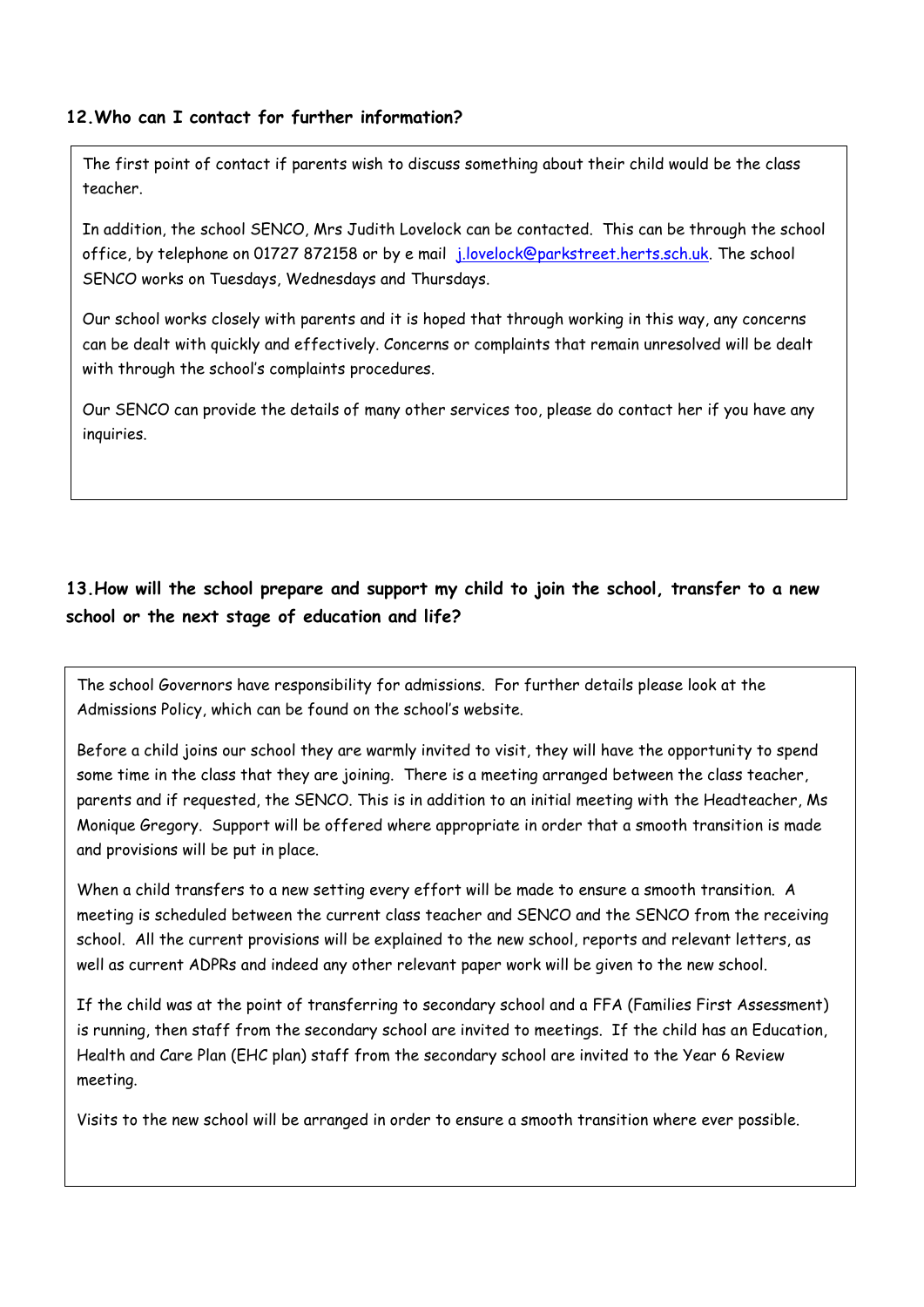#### **12.Who can I contact for further information?**

The first point of contact if parents wish to discuss something about their child would be the class teacher.

In addition, the school SENCO, Mrs Judith Lovelock can be contacted. This can be through the school office, by telephone on 01727 872158 or by e mail [j.lovelock@parkstreet.herts.sch.uk.](mailto:j.lovelock@parkstreet.herts.sch.uk) The school SENCO works on Tuesdays, Wednesdays and Thursdays.

Our school works closely with parents and it is hoped that through working in this way, any concerns can be dealt with quickly and effectively. Concerns or complaints that remain unresolved will be dealt with through the school's complaints procedures.

Our SENCO can provide the details of many other services too, please do contact her if you have any inquiries.

# **13.How will the school prepare and support my child to join the school, transfer to a new school or the next stage of education and life?**

The school Governors have responsibility for admissions. For further details please look at the Admissions Policy, which can be found on the school's website.

Before a child joins our school they are warmly invited to visit, they will have the opportunity to spend some time in the class that they are joining. There is a meeting arranged between the class teacher, parents and if requested, the SENCO. This is in addition to an initial meeting with the Headteacher, Ms Monique Gregory. Support will be offered where appropriate in order that a smooth transition is made and provisions will be put in place.

When a child transfers to a new setting every effort will be made to ensure a smooth transition. A meeting is scheduled between the current class teacher and SENCO and the SENCO from the receiving school. All the current provisions will be explained to the new school, reports and relevant letters, as well as current ADPRs and indeed any other relevant paper work will be given to the new school.

If the child was at the point of transferring to secondary school and a FFA (Families First Assessment) is running, then staff from the secondary school are invited to meetings. If the child has an Education, Health and Care Plan (EHC plan) staff from the secondary school are invited to the Year 6 Review meeting.

Visits to the new school will be arranged in order to ensure a smooth transition where ever possible.